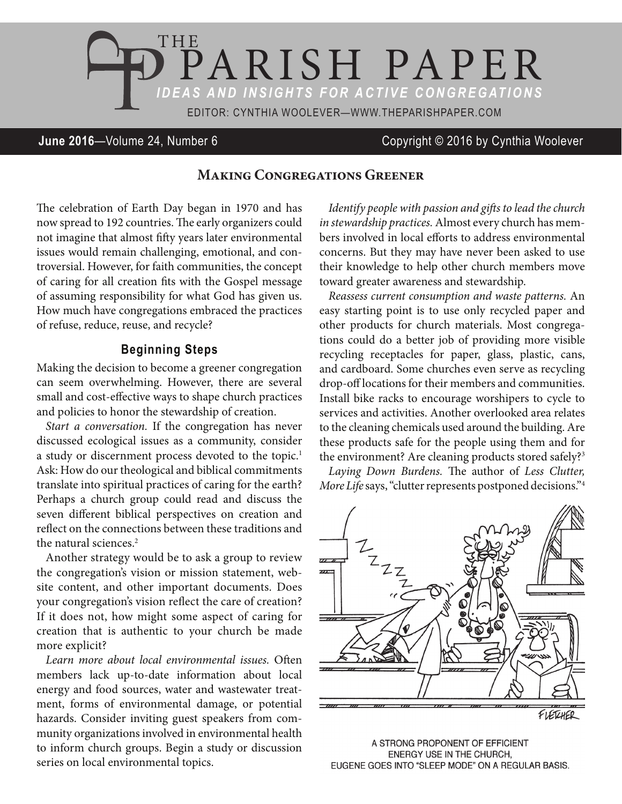

# **June 2016**—Volume 24, Number 6 Copyright © 2016 by Cynthia Woolever

## **Making Congregations Greener**

The celebration of Earth Day began in 1970 and has now spread to 192 countries. The early organizers could not imagine that almost fifty years later environmental issues would remain challenging, emotional, and controversial. However, for faith communities, the concept of caring for all creation fits with the Gospel message of assuming responsibility for what God has given us. How much have congregations embraced the practices of refuse, reduce, reuse, and recycle?

### **Beginning Steps**

Making the decision to become a greener congregation can seem overwhelming. However, there are several small and cost-effective ways to shape church practices and policies to honor the stewardship of creation.

*Start a conversation.* If the congregation has never discussed ecological issues as a community, consider a study or discernment process devoted to the topic.<sup>1</sup> Ask: How do our theological and biblical commitments translate into spiritual practices of caring for the earth? Perhaps a church group could read and discuss the seven different biblical perspectives on creation and reflect on the connections between these traditions and the natural sciences.<sup>2</sup>

Another strategy would be to ask a group to review the congregation's vision or mission statement, website content, and other important documents. Does your congregation's vision reflect the care of creation? If it does not, how might some aspect of caring for creation that is authentic to your church be made more explicit?

*Learn more about local environmental issues.* Often members lack up-to-date information about local energy and food sources, water and wastewater treatment, forms of environmental damage, or potential hazards. Consider inviting guest speakers from community organizations involved in environmental health to inform church groups. Begin a study or discussion series on local environmental topics.

*Identify people with passion and gifts to lead the church in stewardship practices.* Almost every church has members involved in local efforts to address environmental concerns. But they may have never been asked to use their knowledge to help other church members move toward greater awareness and stewardship.

*Reassess current consumption and waste patterns.* An easy starting point is to use only recycled paper and other products for church materials. Most congregations could do a better job of providing more visible recycling receptacles for paper, glass, plastic, cans, and cardboard. Some churches even serve as recycling drop-off locations for their members and communities. Install bike racks to encourage worshipers to cycle to services and activities. Another overlooked area relates to the cleaning chemicals used around the building. Are these products safe for the people using them and for the environment? Are cleaning products stored safely?<sup>3</sup>

*Laying Down Burdens.* The author of *Less Clutter, More Life* says, "clutter represents postponed decisions."4



A STRONG PROPONENT OF EFFICIENT ENERGY USE IN THE CHURCH, EUGENE GOES INTO "SLEEP MODE" ON A REGULAR BASIS.